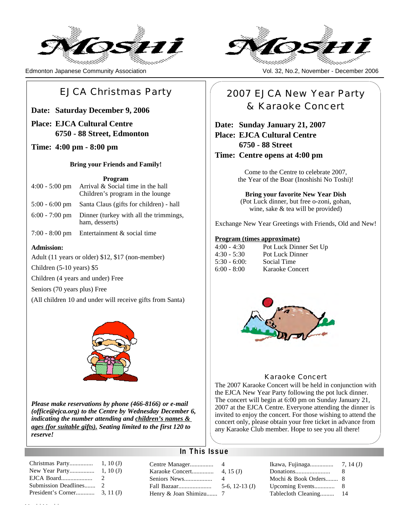

Edmonton Japanese Community Association Vol. 32, No.2, No.2, November - December 2006

## EJCA Christmas Party

**Date: Saturday December 9, 2006**

### **Place: EJCA Cultural Centre 6750 - 88 Street, Edmonton**

### **Time: 4:00 pm - 8:00 pm**

### **Bring your Friends and Family!**

### **Program**

| $4:00 - 5:00$ pm | 1 I VEI AMI<br>Arrival & Social time in the hall<br>Children's program in the lounge |
|------------------|--------------------------------------------------------------------------------------|
|                  | 5:00 - 6:00 pm Santa Claus (gifts for children) - hall                               |
| $6:00 - 7:00$ pm | Dinner (turkey with all the trimmings,<br>ham, desserts)                             |

7:00 - 8:00 pm Entertainment & social time

### **Admission:**

Adult (11 years or older) \$12, \$17 (non-member)

Children (5-10 years) \$5

Children (4 years and under) Free

Seniors (70 years plus) Free

(All children 10 and under will receive gifts from Santa)



*Please make reservations by phone (466-8166) or e-mail (office@ejca.org) to the Centre by Wednesday December 6, indicating the number attending and children's names & ages (for suitable gifts). Seating limited to the first 120 to reserve!*

| Christmas Party      | 1, 10(J)                    |
|----------------------|-----------------------------|
| New Year Party       | 1, 10(J)                    |
| EJCA Board           | $\mathcal{D}_{\mathcal{L}}$ |
| Submission Deadlines | $\mathcal{D}_{\mathcal{L}}$ |
|                      |                             |
|                      |                             |



## 2007 EJCA New Year Party & Karaoke Concert

## **Date: Sunday January 21, 2007 Place: EJCA Cultural Centre 6750 - 88 Street**

**Time: Centre opens at 4:00 pm**

Come to the Centre to celebrate 2007, the Year of the Boar (Inoshishi No Toshi)!

**Bring your favorite New Year Dish**

(Pot Luck dinner, but free o-zoni, gohan, wine, sake & tea will be provided)

Exchange New Year Greetings with Friends, Old and New!

### **Program (times approximate)**

| $4:00 - 4:30$ | Pot Luck Dinner Set Up |
|---------------|------------------------|
| $4:30 - 5:30$ | Pot Luck Dinner        |
| $5:30 - 6:00$ | Social Time            |
| $6:00 - 8:00$ | Karaoke Concert        |



### Karaoke Concert

The 2007 Karaoke Concert will be held in conjunction with the EJCA New Year Party following the pot luck dinner. The concert will begin at 6:00 pm on Sunday January 21, 2007 at the EJCA Centre. Everyone attending the dinner is invited to enjoy the concert. For those wishing to attend the concert only, please obtain your free ticket in advance from any Karaoke Club member. Hope to see you all there!

 $4(J)$ 

### **In This Issue**

|                        |                  |                       | -8 |
|------------------------|------------------|-----------------------|----|
| Seniors News           | 4                | Mochi & Book Orders 8 |    |
|                        | 5-6, 12-13 $(J)$ |                       |    |
| Henry & Joan Shimizu 7 |                  |                       |    |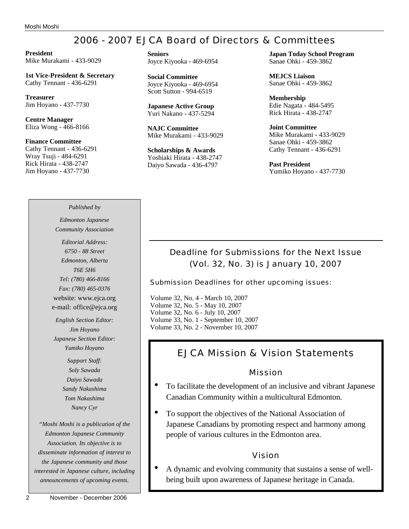## 2006 - 2007 EJCA Board of Directors & Committees

**President** Mike Murakami - 433-9029

**1st Vice-President & Secretary** Cathy Tennant - 436-6291

**Treasurer** Jim Hoyano - 437-7730

**Centre Manager** Eliza Wong - 466-8166

**Finance Committee** Cathy Tennant - 436-6291 Wray Tsuji - 484-6291 Rick Hirata - 438-2747 Jim Hoyano - 437-7730

### *Published by*

*Edmonton Japanese Community Association*

*Editorial Address: 6750 - 88 Street Edmonton, Alberta T6E 5H6 Tel: (780) 466-8166 Fax: (780) 465-0376* website: www.ejca.org e-mail: office@ejca.org

*English Section Editor: Jim Hoyano Japanese Section Editor: Yumiko Hoyano*

> *Support Staff: Soly Sawada Daiyo Sawada Sandy Nakashima Tom Nakashima Nancy Cyr*

*"Moshi Moshi is a publication of the Edmonton Japanese Community Association. Its objective is to disseminate information of interest to the Japanese community and those interested in Japanese culture, including announcements of upcoming events.*

**Seniors** Joyce Kiyooka - 469-6954

**Social Committee** Joyce Kiyooka - 469-6954 Scott Sutton - 994-6519

**Japanese Active Group** Yuri Nakano - 437-5294

**NAJC Committee** Mike Murakami - 433-9029

**Scholarships & Awards** Yoshiaki Hirata - 438-2747 Daiyo Sawada - 436-4797

**Japan Today School Program** Sanae Ohki - 459-3862

**MEJCS Liaison** Sanae Ohki - 459-3862

**Membership** Edie Nagata - 484-5495 Rick Hirata - 438-2747

**Joint Committee** Mike Murakami - 433-9029 Sanae Ohki - 459-3862 Cathy Tennant - 436-6291

**Past President** Yumiko Hoyano - 437-7730

### Deadline for Submissions for the Next Issue (Vol. 32, No. 3) is January 10, 2007

Submission Deadlines for other upcoming issues:

Volume 32, No. 4 - March 10, 2007 Volume 32, No. 5 - May 10, 2007 Volume 32, No. 6 - July 10, 2007 Volume 33, No. 1 - September 10, 2007 Volume 33, No. 2 - November 10, 2007

## EJCA Mission & Vision Statements

### Mission

- To facilitate the development of an inclusive and vibrant Japanese Canadian Community within a multicultural Edmonton.
- To support the objectives of the National Association of Japanese Canadians by promoting respect and harmony among people of various cultures in the Edmonton area.

### Vision

• A dynamic and evolving community that sustains a sense of wellbeing built upon awareness of Japanese heritage in Canada.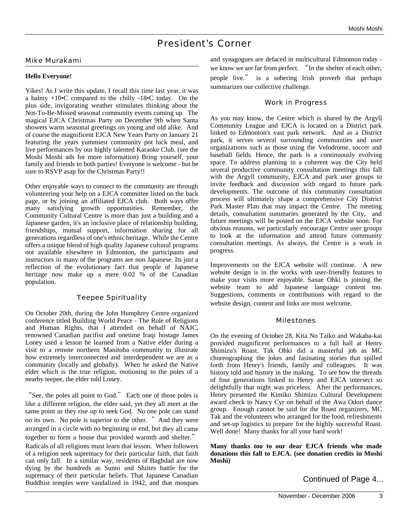## President's Corner

### Mike Murakami

### **Hello Everyone!**

Yikes! As I write this update, I recall this time last year, it was a balmy  $+10\text{-}C$  compared to the chilly  $-18\text{-}C$  today. On the plus side, invigorating weather stimulates thinking about the Not-To-Be-Missed seasonal community events coming up. The magical EJCA Christmas Party on December 9th when Santa showers warm seasonal greetings on young and old alike. And of course the magnificent EJCA New Years Party on January 21 featuring the years yummiest community pot luck meal, and live performances by our highly talented Karaoke Club. (see the Moshi Moshi ads for more information) Bring yourself, your family and friends to both parties! Everyone is welcome - but be sure to RSVP asap for the Christmas Party!!

Other enjoyable ways to connect to the community are through volunteering your help on a EJCA committee listed on the back page, or by joining an affiliated EJCA club. Both ways offer many satisfying growth opportunities. Remember, the Community Cultural Centre is more than just a building and a Japanese garden, it's an inclusive place of relationship building, friendships, mutual support, information sharing for all generations regardless of one's ethnic heritage. While the Centre offers a unique blend of high quality Japanese cultural programs not available elsewhere in Edmonton, the participants and instructors in many of the programs are non Japanese. Its just a reflection of the evolutionary fact that people of Japanese heritage now make up a mere 0.02 % of the Canadian population.

### Teepee Spirituality

On October 20th, during the John Humphrey Centre organized conference titled Building World Peace - The Role of Religions and Human Rights, that I attended on behalf of NAJC, renowned Canadian pacifist and onetime Iraqi hostage James Loney used a lesson he learned from a Native elder during a visit to a remote northern Manitoba community to illustrate how extremely interconnected and interdependent we are as a community (locally and globally). When he asked the Native elder which is the true religion, motioning to the poles of a nearby teepee, the elder told Loney.

"See, the poles all point to God." Each one of those poles is like a different religion, the elder said, yet they all meet at the same point as they rise up to seek God. No one pole can stand on its own. No pole is superior to the other. "And they were arranged in a circle with no beginning or end, but they all came together to form a house that provided warmth and shelter." Radicals of all religions must learn that lesson. When followers of a religion seek supremacy for their particular faith, that faith can only fall. In a similar way, residents of Baghdad are now dying by the hundreds as Sunni and Shiites battle for the supremacy of their particular beliefs. That Japanese Canadian Buddhist temples were vandalized in 1942, and that mosques

and synagogues are defaced in multicultural Edmonton today we know we are far from perfect. "In the shelter of each other, people live." is a sobering Irish proverb that perhaps summarizes our collective challenge.

### Work in Progress

As you may know, the Centre which is shared by the Argyll Community League and EJCA is located on a District park linked to Edmonton's vast park network. And as a District park, it serves several surrounding communities and user organizations such as those using the Velodrome, soccer and baseball fields. Hence, the park is a continuously evolving space. To address planning in a coherent way the City held several productive community consultation meetings this fall with the Argyll community, EJCA and park user groups to invite feedback and discussion with regard to future park developments. The outcome of this community consultation process will ultimately shape a comprehensive City District Park Master Plan that may impact the Centre. The meeting details, consultation summaries generated by the City, and future meetings will be posted on the EJCA website soon. For obvious reasons, we particularly encourage Centre user groups to look at the information and attend future community consultation meetings. As always, the Centre is a work in progress.

Improvements on the EJCA website will continue. A new website design is in the works with user-friendly features to make your visits more enjoyable. Sanae Ohki is joining the website team to add Japanese language content too. Suggestions, comments or contributions with regard to the website design, content and links are most welcome.

### Milestones

On the evening of October 28, Kita No Taiko and Wakaba-kai provided magnificent performances to a full hall at Henry Shimizu's Roast. Tak Ohki did a masterful job as MC choreographing the jokes and fasinating stories that spilled forth from Henry's friends, family and colleagues. It was history told and history in the making. To see how the threads of four generations linked to Henry and EJCA intersect so delightfully that night was priceless. After the performances, Henry presented the Kimiko Shimizu Cultural Development award check to Nancy Cyr on behalf of the Awa Odori dance group. Enough cannot be said for the Roast organizers, MC Tak and the volunteers who arranged for the food, refreshments and set-up logistics to prepare for the highly successful Roast. Well done! Many thanks for all your hard work!

**Many thanks too to our dear EJCA friends who made donations this fall to EJCA. (see donation credits in Moshi Moshi)** 

Continued of Page 4...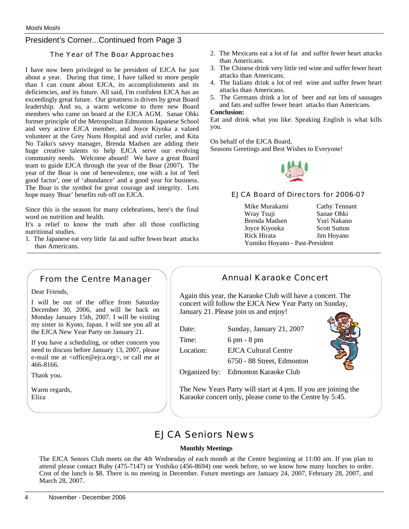### President's Corner...Continued from Page 3

### The Year of The Boar Approaches

I have now been privileged to be president of EJCA for just about a year. During that time, I have talked to more people than I can count about EJCA, its accomplishments and its deficiencies, and its future. All said, I'm confident EJCA has an exceedingly great future. Our greatness is driven by great Board leadership. And so, a warm welcome to three new Board members who came on board at the EJCA AGM. Sanae Ohki former principle of the Metropolitan Edmonton Japanese School and very active EJCA member, and Joyce Kiyoka a valued volunteer at the Grey Nuns Hospital and avid curler, and Kita No Taiko's savvy manager, Brenda Madsen are adding their huge creative talents to help EJCA serve our evolving community needs. Welcome aboard! We have a great Board team to guide EJCA through the year of the Boar (2007). The year of the Boar is one of benevolence, one with a lot of 'feel good factor', one of 'abundance' and a good year for business. The Boar is the symbol for great courage and integrity. Lets hope many 'Boar' benefits rub off on EJCA.

Since this is the season for many celebrations, here's the final word on nutrition and health.

It's a relief to know the truth after all those conflicting nutritional studies.

1. The Japanese eat very little fat and suffer fewer heart attacks than Americans.

- 2. The Mexicans eat a lot of fat and suffer fewer heart attacks than Americans.
- 3. The Chinese drink very little red wine and suffer fewer heart attacks than Americans.
- 4. The Italians drink a lot of red wine and suffer fewer heart attacks than Americans.
- 5. The Germans drink a lot of beer and eat lots of sausages and fats and suffer fewer heart attacks than Americans.

#### **Conclusion:**

Eat and drink what you like. Speaking English is what kills you.

On behalf of the EJCA Board, Seasons Greetings and Best Wishes to Everyone!



EJCA Board of Directors for 2006-07

Mike Murakami Cathy Tennant Wray Tsuji Sanae Ohki Brenda Madsen<br>
Iovce Kivooka<br>
Scott Sutton Joyce Kiyooka Rick Hirata Jim Hoyano Yumiko Hoyano - Past-President

|               | Annual Karaoke Concert                                                                                                                                        |
|---------------|---------------------------------------------------------------------------------------------------------------------------------------------------------------|
|               | Again this year, the Karaoke Club will have a concert. The<br>concert will follow the EJCA New Year Party on Sunday,<br>January 21. Please join us and enjoy! |
| Date:         | Sunday, January 21, 2007                                                                                                                                      |
| Time:         | $6 \text{ pm} - 8 \text{ pm}$                                                                                                                                 |
| Location:     | EJCA Cultural Centre                                                                                                                                          |
|               | 6750 - 88 Street, Edmonton                                                                                                                                    |
| Organized by: | <b>Edmonton Karaoke Club</b>                                                                                                                                  |

The New Years Party will start at 4 pm. If you are joining the Karaoke concert only, please come to the Centre by 5:45.

## EJCA Seniors News

### **Monthly Meetings**

The EJCA Senors Club meets on the 4th Wednesday of each month at the Centre beginning at 11:00 am. If you plan to attend please contact Ruby (475-7147) or Yoshiko (456-8694) one week before, so we know how many lunches to order. Cost of the lunch is \$8. There is no meeing in December. Future meetings are January 24, 2007, February 28, 2007, and March 28, 2007.

From the Centre Manager

Dear Friends,

I will be out of the office from Saturday December 30, 2006, and will be back on Monday January 15th, 2007. I will be visiting my sister in Kyoto, Japan. I will see you all at the EJCA New Year Party on January 21.

If you have a scheduling, or other concern you need to discuss before January 13, 2007, please e-mail me at <office@ejca.org>, or call me at 466-8166.

Thank you.

Warm regards, Eliza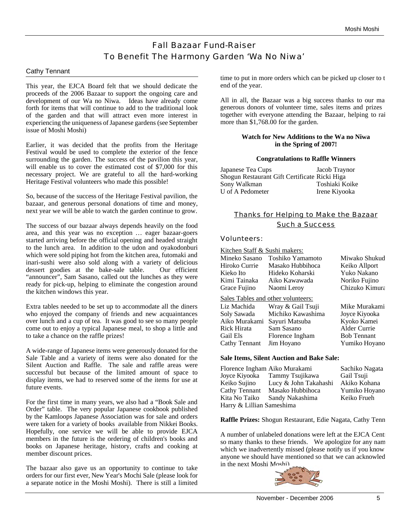## Fall Bazaar Fund-Raiser To Benefit The Harmony Garden 'Wa No Niwa'

### Cathy Tennant

This year, the EJCA Board felt that we should dedicate the proceeds of the 2006 Bazaar to support the ongoing care and development of our Wa no Niwa. Ideas have already come forth for items that will continue to add to the traditional look of the garden and that will attract even more interest in experiencing the uniqueness of Japanese gardens (see September issue of Moshi Moshi)

Earlier, it was decided that the profits from the Heritage Festival would be used to complete the exterior of the fence surrounding the garden. The success of the pavilion this year, will enable us to cover the estimated cost of \$7,000 for this necessary project. We are grateful to all the hard-working Heritage Festival volunteers who made this possible!

So, because of the success of the Heritage Festival pavilion, the bazaar, and generous personal donations of time and money, next year we will be able to watch the garden continue to grow.

The success of our bazaar always depends heavily on the food area, and this year was no exception … eager bazaar-goers started arriving before the official opening and headed straight to the lunch area. In addition to the udon and oyakodonburi which were sold piping hot from the kitchen area, futomaki and inari-sushi were also sold along with a variety of delicious dessert goodies at the bake-sale table. Our efficient "announcer", Sam Sasano, called out the lunches as they were ready for pick-up, helping to eliminate the congestion around the kitchen windows this year.

Extra tables needed to be set up to accommodate all the diners who enjoyed the company of friends and new acquaintances over lunch and a cup of tea. It was good to see so many people come out to enjoy a typical Japanese meal, to shop a little and to take a chance on the raffle prizes!

A wide-range of Japanese items were generously donated for the Sale Table and a variety of items were also donated for the Silent Auction and Raffle. The sale and raffle areas were successful but because of the limited amount of space to display items, we had to reserved some of the items for use at future events.

For the first time in many years, we also had a "Book Sale and Order" table. The very popular Japanese cookbook published by the Kamloops Japanese Association was for sale and orders were taken for a variety of books available from Nikkei Books. Hopefully, one service we will be able to provide EJCA members in the future is the ordering of children's books and books on Japanese heritage, history, crafts and cooking at member discount prices.

The bazaar also gave us an opportunity to continue to take orders for our first ever, New Year's Mochi Sale (please look for a separate notice in the Moshi Moshi). There is still a limited time to put in more orders which can be picked up closer to t end of the year.

All in all, the Bazaar was a big success thanks to our ma generous donors of volunteer time, sales items and prizes … together with everyone attending the Bazaar, helping to rai more than \$1,768.00 for the garden.

### **Watch for New Additions to the Wa no Niwa in the Spring of 2007!**

### **Congratulations to Raffle Winners**

| Japanese Tea Cups                             | Jacob Traynor  |
|-----------------------------------------------|----------------|
| Shogun Restaurant Gift Certificate Ricki Higa |                |
| Sony Walkman                                  | Toshiaki Koike |
| U of A Pedometer                              | Irene Kiyooka  |

### Thanks for Helping to Make the Bazaar Such a Success

### Volunteers:

| Kitchen Staff & Sushi makers: |                                    |                    |  |  |
|-------------------------------|------------------------------------|--------------------|--|--|
| Mineko Sasano                 | Toshiko Yamamoto                   | Miwako Shukud      |  |  |
| Hiroko Currie                 | Masako Hubbihoca                   | Keiko Allport      |  |  |
| Kieko Ito                     | Hideko Koharski                    | Yuko Nakano        |  |  |
| Kimi Tainaka                  | Aiko Kawawada                      | Noriko Fujino      |  |  |
| Grace Fujino                  | Naomi Leroy                        | Chizuko Kimura     |  |  |
|                               | Sales Tables and other volunteers: |                    |  |  |
| Liz Machida                   | Wray & Gail Tsuji                  | Mike Murakami      |  |  |
| Soly Sawada                   | Michiko Kawashima                  | Joyce Kiyooka      |  |  |
| Aiko Murakami                 | Sayuri Matsuba                     | Kyoko Kamei        |  |  |
| Rick Hirata                   | Sam Sasano                         | Alder Currie       |  |  |
| Gail Els                      | Florence Ingham                    | <b>Bob Tennant</b> |  |  |
| Cathy Tennant                 | Jim Hoyano                         | Yumiko Hoyano      |  |  |
|                               |                                    |                    |  |  |

### **Sale Items, Silent Auction and Bake Sale:**

| Florence Ingham Aiko Murakami |                               | Sachiko Nagata |  |
|-------------------------------|-------------------------------|----------------|--|
|                               | Joyce Kiyooka Tammy Tsujikawa | Gail Tsuji     |  |
| Keiko Sujino                  | Lucy & John Takahashi         | Akiko Kohana   |  |
| Cathy Tennant                 | Masako Hubbihoca              | Yumiko Hoyano  |  |
| Kita No Taiko                 | Sandy Nakashima               | Keiko Frueh    |  |
| Harry & Lillian Sameshima     |                               |                |  |

**Raffle Prizes:** Shogun Restaurant, Edie Nagata, Cathy Tenn

A number of unlabeled donations were left at the EJCA Centre so many thanks to these friends. We apologize for any nam which we inadvertently missed (please notify us if you know anyone we should have mentioned so that we can acknowled in the next Moshi Moshi).

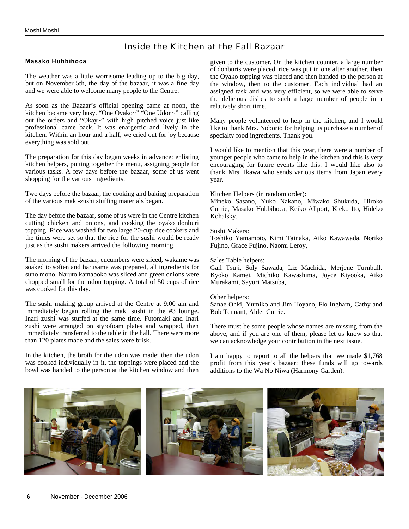### Inside the Kitchen at the Fall Bazaar

### **Masako Hubbihoca**

The weather was a little worrisome leading up to the big day, but on November 5th, the day of the bazaar, it was a fine day and we were able to welcome many people to the Centre.

As soon as the Bazaar's official opening came at noon, the kitchen became very busy. "One Oyako~" "One Udon~" calling out the orders and "Okay~" with high pitched voice just like professional came back. It was enargertic and lively in the kitchen. Within an hour and a half, we cried out for joy because everything was sold out.

The preparation for this day began weeks in advance: enlisting kitchen helpers, putting together the menu, assigning people for various tasks. A few days before the bazaar, some of us went shopping for the various ingredients.

Two days before the bazaar, the cooking and baking preparation of the various maki-zushi stuffing materials began.

The day before the bazaar, some of us were in the Centre kitchen cutting chicken and onions, and cooking the oyako donburi topping. Rice was washed for two large 20-cup rice cookers and the times were set so that the rice for the sushi would be ready just as the sushi makers arrived the following morning.

The morning of the bazaar, cucumbers were sliced, wakame was soaked to soften and harusame was prepared, all ingredients for suno mono. Naruto kamaboko was sliced and green onions were chopped small for the udon topping. A total of 50 cups of rice was cooked for this day.

The sushi making group arrived at the Centre at 9:00 am and immediately began rolling the maki sushi in the #3 lounge. Inari zushi was stuffed at the same time. Futomaki and Inari zushi were arranged on styrofoam plates and wrapped, then immediately transferred to the table in the hall. There were more than 120 plates made and the sales were brisk.

In the kitchen, the broth for the udon was made; then the udon was cooked individually in it, the toppings were placed and the bowl was handed to the person at the kitchen window and then

given to the customer. On the kitchen counter, a large number of donburis were placed, rice was put in one after another, then the Oyako topping was placed and then handed to the person at the window, then to the customer. Each individual had an assigned task and was very efficient, so we were able to serve the delicious dishes to such a large number of people in a relatively short time.

Many people volunteered to help in the kitchen, and I would like to thank Mrs. Noborio for helping us purchase a number of specialty food ingredients. Thank you.

I would like to mention that this year, there were a number of younger people who came to help in the kitchen and this is very encouraging for future events like this. I would like also to thank Mrs. Ikawa who sends various items from Japan every year.

Kitchen Helpers (in random order):

Mineko Sasano, Yuko Nakano, Miwako Shukuda, Hiroko Currie, Masako Hubbihoca, Keiko Allport, Kieko Ito, Hideko Kohalsky.

### Sushi Makers:

Toshiko Yamamoto, Kimi Tainaka, Aiko Kawawada, Noriko Fujino, Grace Fujino, Naomi Leroy,

#### Sales Table helpers:

Gail Tsuji, Soly Sawada, Liz Machida, Merjene Turnbull, Kyoko Kamei, Michiko Kawashima, Joyce Kiyooka, Aiko Murakami, Sayuri Matsuba,

#### Other helpers:

Sanae Ohki, Yumiko and Jim Hoyano, Flo Ingham, Cathy and Bob Tennant, Alder Currie.

There must be some people whose names are missing from the above, and if you are one of them, please let us know so that we can acknowledge your contribution in the next issue.

I am happy to report to all the helpers that we made \$1,768 profit from this year's bazaar; these funds will go towards additions to the Wa No Niwa (Harmony Garden).

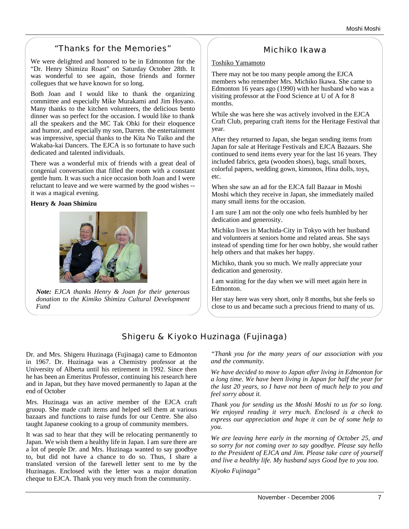## "Thanks for the Memories"

We were delighted and honored to be in Edmonton for the "Dr. Henry Shimizu Roast" on Saturday October 28th. It was wonderful to see again, those friends and former collegues that we have known for so long.

Both Joan and I would like to thank the organizing committee and especially Mike Murakami and Jim Hoyano. Many thanks to the kitchen volunteers, the delicious bento dinner was so perfect for the occasion. I would like to thank all the speakers and the MC Tak Ohki for their eloquence and humor, and especially my son, Darren. the entertainment was impressive, special thanks to the Kita No Taiko and the Wakaba-kai Dancers. The EJCA is so fortunate to have such dedicated and talented individuals.

There was a wonderful mix of friends with a great deal of congenial conversation that filled the room with a constant gentle hum. It was such a nice occasion both Joan and I were reluctant to leave and we were warmed by the good wishes - it was a magical evening.

### **Henry & Joan Shimizu**



*Note: EJCA thanks Henry & Joan for their generous donation to the Kimiko Shimizu Cultural Development Fund*

### Michiko Ikawa

### Toshiko Yamamoto

There may not be too many people among the EJCA members who remember Mrs. Michiko Ikawa. She came to Edmonton 16 years ago (1990) with her husband who was a visiting professor at the Food Science at U of A for 8 months.

While she was here she was actively involved in the EJCA Craft Club, preparing craft items for the Heritage Festival that year.

After they returned to Japan, she began sending items from Japan for sale at Heritage Festivals and EJCA Bazaars. She continued to send items every year for the last 16 years. They included fabrics, geta (wooden shoes), bags, small boxes, colorful papers, wedding gown, kimonos, Hina dolls, toys, etc.

When she saw an ad for the EJCA fall Bazaar in Moshi Moshi which they receive in Japan, she immediately mailed many small items for the occasion.

I am sure I am not the only one who feels humbled by her dedication and generosity.

Michiko lives in Machida-City in Tokyo with her husband and volunteers at seniors home and related areas. She says instead of spending time for her own hobby, she would rather help others and that makes her happy.

Michiko, thank you so much. We really appreciate your dedication and generosity.

I am waiting for the day when we will meet again here in Edmonton.

Her stay here was very short, only 8 months, but she feels so close to us and became such a precious friend to many of us.

## Shigeru & Kiyoko Huzinaga (Fujinaga)

Dr. and Mrs. Shigeru Huzinaga (Fujinaga) came to Edmonton in 1967. Dr. Huzinaga was a Chemistry professor at the University of Alberta until his retirement in 1992. Since then he has been an Emeritus Professor, continuing his research here and in Japan, but they have moved permanently to Japan at the end of October

Mrs. Huzinaga was an active member of the EJCA craft gruoup. She made craft items and helped sell them at various bazaars and functions to raise funds for our Centre. She also taught Japanese cooking to a group of community members.

It was sad to hear that they will be relocating permanently to Japan. We wish them a healthy life in Japan. I am sure there are a lot of people Dr. and Mrs. Huzinaga wanted to say goodbye to, but did not have a chance to do so. Thus, I share a translated version of the farewell letter sent to me by the Huzinagas. Enclosed with the letter was a major donation cheque to EJCA. Thank you very much from the community.

*"Thank you for the many years of our association with you and the community.*

*We have decided to move to Japan after living in Edmonton for a long time. We have been living in Japan for half the year for the last 20 years, so I have not been of much help to you and feel sorry about it.* 

*Thank you for sending us the Moshi Moshi to us for so long. We enjoyed reading it very much. Enclosed is a check to express our appreciation and hope it can be of some help to you.*

*We are leaving here early in the morning of October 25, and so sorry for not coming over to say goodbye. Please say hello to the President of EJCA and Jim. Please take care of yourself and live a healthy life. My husband says Good bye to you too.*

*Kiyoko Fujinaga"*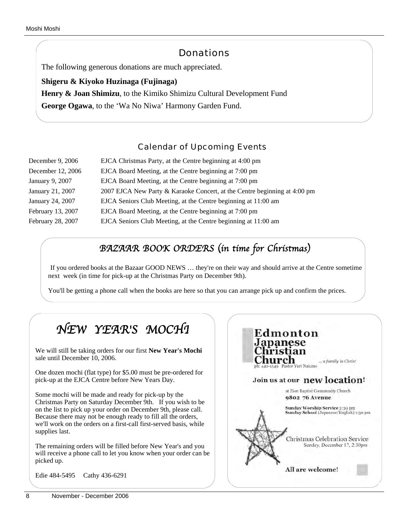## **Donations**

The following generous donations are much appreciated.

### **Shigeru & Kiyoko Huzinaga (Fujinaga)**

**Henry & Joan Shimizu**, to the Kimiko Shimizu Cultural Development Fund

**George Ogawa**, to the 'Wa No Niwa' Harmony Garden Fund.

## Calendar of Upcoming Events

| December 9, 2006  | EJCA Christmas Party, at the Centre beginning at 4:00 pm                  |
|-------------------|---------------------------------------------------------------------------|
| December 12, 2006 | EJCA Board Meeting, at the Centre beginning at 7:00 pm                    |
| January 9, 2007   | EJCA Board Meeting, at the Centre beginning at 7:00 pm                    |
| January 21, 2007  | 2007 EJCA New Party & Karaoke Concert, at the Centre beginning at 4:00 pm |
| January 24, 2007  | EJCA Seniors Club Meeting, at the Centre beginning at 11:00 am            |
| February 13, 2007 | EJCA Board Meeting, at the Centre beginning at 7:00 pm                    |
| February 28, 2007 | EJCA Seniors Club Meeting, at the Centre beginning at 11:00 am            |
|                   |                                                                           |

## *BAZAAR BOOK ORDERS* (*in time for Christmas*)

If you ordered books at the Bazaar GOOD NEWS … they're on their way and should arrive at the Centre sometime next week (in time for pick-up at the Christmas Party on December 9th).

You'll be getting a phone call when the books are here so that you can arrange pick up and confirm the prices.

#### *NEW YEAR*'*S MOCHI* Edmonton panese We will still be taking orders for our first **New Year's Mochi** stıan sale until December 10, 2006. 'hurch ... a family in Christ Pastor Yuri Nakano One dozen mochi (flat type) for \$5.00 must be pre-ordered for pick-up at the EJCA Centre before New Years Day. Join us at our new location! at Zion Baptist Community Church Some mochi will be made and ready for pick-up by the 9802 76 Avenue Christmas Party on Saturday December 9th. If you wish to be Sunday Worship Service 2:30 pm<br>Sunday School (Japanese/English) 1:30 pm on the list to pick up your order on December 9th, please call. Because there may not be enough ready to fill all the orders, we'll work on the orders on a first-call first-served basis, while supplies last. **Christmas Celebration Service** Sunday, December 17, 2:30pm The remaining orders will be filled before New Year's and you will receive a phone call to let you know when your order can be picked up. All are welcome! Edie 484-5495 Cathy 436-6291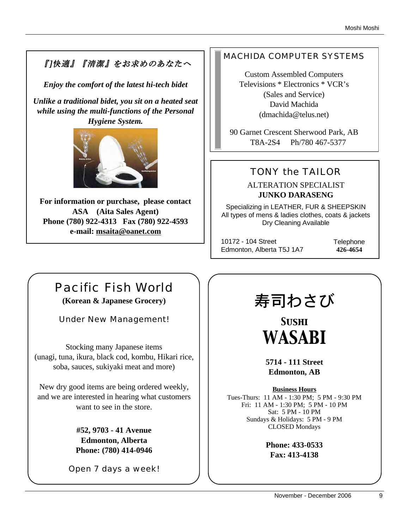## 『]快適』『清潔』をお求めのあなたへ

*Enjoy the comfort of the latest hi-tech bidet*

*Unlike a traditional bidet, you sit on a heated seat while using the multi-functions of the Personal Hygiene System.* 



**For information or purchase, please contact ASA (Aita Sales Agent) Phone (780) 922-4313 Fax (780) 922-4593 e-mail: msaita@oanet.com**

## MACHIDA COMPUTER SYSTEMS

Custom Assembled Computers Televisions \* Electronics \* VCR's (Sales and Service) David Machida (dmachida@telus.net)

90 Garnet Crescent Sherwood Park, AB T8A-2S4 Ph/780 467-5377

## TONY the TAILOR

ALTERATION SPECIALIST **JUNKO DARASENG**

Specializing in LEATHER, FUR & SHEEPSKIN All types of mens & ladies clothes, coats & jackets Dry Cleaning Available

10172 - 104 Street Edmonton, Alberta T5J 1A7 **Telephone 426-4654**

# Pacific Fish World

**(Korean & Japanese Grocery)**

Under New Management!

Stocking many Japanese items (unagi, tuna, ikura, black cod, kombu, Hikari rice, soba, sauces, sukiyaki meat and more)

New dry good items are being ordered weekly, and we are interested in hearing what customers want to see in the store.

> **#52, 9703 - 41 Avenue Edmonton, Alberta Phone: (780) 414-0946**

Open 7 days a week!

# 寿司わさび

*Sushi WASABI*

**5714 - 111 Street Edmonton, AB**

**Business Hours** Tues-Thurs: 11 AM - 1:30 PM; 5 PM - 9:30 PM Fri: 11 AM - 1:30 PM; 5 PM - 10 PM Sat: 5 PM - 10 PM Sundays & Holidays: 5 PM - 9 PM CLOSED Mondays

> **Phone: 433-0533 Fax: 413-4138**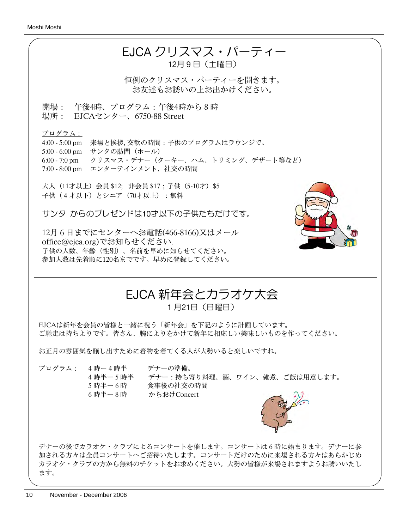

恒例のクリスマス・パーティーを開きます。 お友達もお誘いの上お出かけください。

開場: 午後4時、プログラム:午後4時から8時 場所: EJCAセンター、6750-88 Street

プログラム:

4:00 - 5:00 pm 来場と挨拶, 交歓の時間:子供のプログラムはラウンジで。 5:00 - 6:00 pm サンタの訪問 (ホール) 6:00 - 7:0 pm クリスマス・デナー(ターキー、ハム、トリミング、デザート等など) 7:00 - 8:00 pm エンターテインメント、社交の時間

大人 (11才以上) 会員 \$12; 非会員 \$17; 子供 (5-10才) \$5 子供(4才以下)とシニア(70才以上):無料

サンタ からのプレゼンドは10才以下の子供たちだけです。

12月6日までにセンターへお電話(466-8166)又はメール office@ejca.org)でお知らせください. 子供の人数、年齢(性別)、名前を早めに知らせてください。 参加人数は先着順に120名までです。早めに登録してください。



## EJCA 新年会とカラオケ大会 1月21日(日曜日)

EJCAは新年を会員の皆様と一緒に祝う「新年会」を下記のように計画しています。 ご馳走は持ちよりです。皆さん、腕によりをかけて新年に相応しい美味しいものを作ってください。

お正月の雰囲気を醸し出すために着物を着てくる人が大勢いると楽しいですね。

プログラム: 4時ー4時半 デナーの準備。

4時半ー5時半 デナー:持ち寄り料理、酒、ワイン、雑煮、ご飯は用意します。 5時半ー6時 食事後の社交の時間 6時半ー8時 からおけConcert



デナーの後でカラオケ・クラブによるコンサートを催します。コンサートは6時に始まります。デナーに参 加される方々は全員コンサートへご招待いたします。コンサートだけのために来場される方々はあらかじめ カラオケ・クラブの方から無料のチケットをお求めください。大勢の皆様が来場されますようお誘いいたし ます。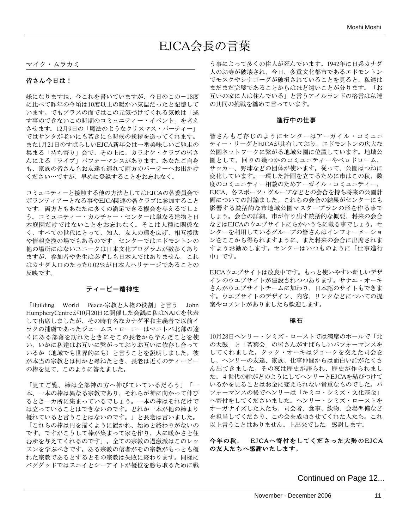# EJCA会長の言葉

### マイク・ムラカミ

### 皆さん今日は!

嫌になりますね、今これを書いていますが、今日のこの-18度 に比べて昨年の今頃は10度以上の暖かい気温だったと記憶して います。でもプラスの面ではこの元気づけてくれる気候は「逃 す事のできないこの時期のコミュニティー・イベント」を考え させます。12月9日の「魔法のようなクリスマス・パーティー」 ではサンタが老いにも若きにも時候の挨拶を送ってくれます。 また1月21日のすばらしいEJCA新年会は一番美味しいご馳走の 集まる「持ち寄り」会で、その上に、カラオケ・クラブの皆さ んによる「ライブ」パフォーマンスがあります。あなたご自身 も、家族の皆さんもお友達も連れて両方のパーテーへお出かけ ください⋯ですが、早めに登録することをお忘れなく。

コミュニティーと接触する他の方法としてはEJCAの各委員会で ボランティアーとなる事やEJCA関連の各クラブに参加すること です。両方ともあなたに多くの満足できる機会を与えるでしょ う。コミュニティー・カルチャー・センターは単なる建物と日 本庭園だけではないことをお忘れなく。そこは人種に関係な く、すべての世代にとって、知人、友人の環を広げ、相互援助 や情報交換の場でもあるのです。センターではエドモントンの 他の場所にはないユニークは日本文化プログラムが数多くあり ますが、参加者や先生は必ずしも日本人ではありません。これ はカナダ人口のたった0.02%が日本人ヘリテージであることの 反映です。

### ティーピー精神性

「Building World Peace-宗教と人権の役割」と言う John HumpheryCentreが10月20日に開催した会議に私はNAJCを代表 して出席しましたが、その時有名なカナダ平和主義者で以前イ ラクの捕虜であったジェームス・ローニーはマニトバ北部の遠 くにある部落を訪れたときにそこの長老から学んだことを使 い、いかに私達はお互いに繋がっておりお互いに依存し合って いるか(地域でも世界的にも)と言うことを説明しました。彼 が本当の宗教とは何かと尋ねたとき、長老は近くのティーピー の棒を見て、このように答えました。

「見てご覧、棒は全部神の方へ伸びていているだろう」「一 本、一本の棒は異なる宗教であり、それらが神に向かって伸び るとき一カ所に集まっているでしょう。一本の棒はそれだけで は立っていることはできないのです。どれか一本が他の棒より 優れていると言うことはないのです。」と長老は言いました。 「これらの棒は円を描くように置かれ、始めと終わりがないの です。ですがこうして棒が集まって家を作り、人に暖かさと住 む所を与えてくれるのです」。全ての宗教の過激派はこのレッ スンを学ぶべきです。ある宗教の信者がその宗教がもっとも優 れた宗教であるとするとその宗教は失敗に終わります。同様に バグダッドではスニイとシーアイトが優位を勝ち取るために戦

う事によって多くの住人が死んでいます。1942年に日系カナダ 人のお寺が破壊され、今日、多重文化都市であるエドモントン でモスクやシナゴーグが破損されていることを見ると、私達は まだまだ完璧であることからはほど遠いことが分ります。「お 互いの家に人は住んでいる」と言うアイルランドの格言は私達 の共同の挑戦を纏めて言っています。

### 進行中の仕事

皆さんもご存じのようにセンターはアーガイル・コミュニ ティー・リーグとEJCAが共有しており、エドモントンの広大な 公園ネットワークに繋がる地域公園に位置しています。地域公 園として、回りの幾つかのコミュニティーやベロドローム、 サッカー、野球などの団体が使います。従って、公園はつねに 変化しています。一環した計画を立てるために市はこの秋、数 度のコミュニティー相談のためアーガイル・コミュニティー、 EJCA、各スポーツ・グループなどとの会合を持ち将来の公園計 画についての討論ました。これらの会合の結果がセンターにも 影響する統括的な市地域公園マスタープランの形を作る事で しょう。会合の詳細、市が作り出す統括的な概要、将来の会合 などはEJCAのウエブサイトにちかいうちに載る事でしょう。セ ンターを利用しているグループの皆さんはインフォーメーショ ンをここから得られますように、また将来の会合に出席されま すようお勧めします。センターはいつものように「仕事進行 中」です。

EJCAウエブサイトは改良中です。もっと使いやすい新しいデザ インのウエブサイトが建設されつつあります。サナエ・オーキ さんがウエブサイトチームに加わり、日本語のサイトもできま す。ウエブサイトのデザイン、内容、リンクなどについての提 案やコメントがありましたら歓迎します。

### 標石

10月28日ヘンリー・シミズ・ローストでは満席のホールで「北 の太鼓」と「若葉会」の皆さんがすばらしいパフォーマンスを してくれました。タック・オーキはジョークを交えた司会を し、ヘンリーの友達、家族、仕事仲間からは面白い話がたくさ ん出てきました。その夜は歴史が語られ、歴史が作られまし た。4世代の絆がどのようにしてヘンリーとEJCAを結びつけて いるかを見ることはお金に変えられない貴重なものでした。パ フォーマンスの後でヘンリーは「キミコ・シミズ・文化基金」 へ寄付をしてくださいました。ヘンリー・シミズ・ローストを オーガナイズした人たち、司会者、食事、飲物、会場準備など を担当してくださり、この会を成功させてくれた人たち。これ 以上言うことはありません。上出来でした。感謝します。

今年の秋、 EJCAへ寄付をしてくださった大勢のEJCA の友人たちへ感謝いたします。

Continued on Page 12...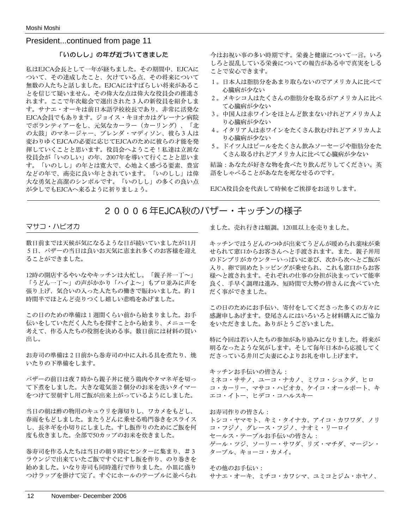President...continued from page 11

### 「いのしし」の年が近づいてきました

私はEJCA会長として一年が経ちました。その期間中、EJCAに ついて、その達成したこと、欠けている点、その将来について 無数の人たちと話しました。EJCAにはすばらしい将来があるこ とを信じて疑いません。その偉大な点は偉大な役員会の推進さ れます。ここで年次総会で選出された3人の新役員を紹介しま す。サナエ・オーキは前日本語学校校長であり、非常に活発な EJCA会員でもあります。ジョイス・キヨオカはグレーナン病院 でボランティアーをし、元気なカーラー(カーリング)、「北 の太鼓」のマネージャー、ブレンダ・マディソン、彼ら3人は 変わりゆくEJCAの必要に応じてEJCAのために彼らの才能を発 揮していくことと思います。役員会へようこそ!私達は立派な 役員会が「いのしい」の年、2007年を導いて行くことと思いま す。「いのしし」の年とは寛大で、心地よく感づる要素、豊富 などの年で、商売に良い年とされています。「いのしし」は偉 大な勇気と高潔のシンボルです。「いのしし」の多くの良い点 が少しでもEJCAへ来るように祈りましょう。

今はお祝い事の多い時期です。栄養と健康について一言。いろ しろと混乱している栄養についての報告がある中で真実をしる ことで安心できます。

- 1。日本人は脂肪分をあまり取らないのでアメリカ人に比べて 心臓病が少ない
- 2。メキシコ人はたくさんの脂肪分を取るがアメリカ人に比べ て心臓病が少ない
- 3。中国人は赤ワインをほとんど飲まないけれどアメリカ人よ り心臓病が少ない
- 4。イタリア人は赤ワインをたくさん飲むけれどアメリカ人よ り心臓病が少ない
- 5。ドイツ人はビールをたくさん飲みソーセージや脂肪分をた くさん取るけれどアメリカ人に比べて心臓病が少ない

結論:あなたが好きな物を食べたり飲んだりしてください。英 語をしゃべることがあなたを死なせるのです。

EJCA役員会を代表して時候をご挨拶をお送りします。

20006年EJCA秋のバザー・キッチンの様子

### マサコ・ハビオカ

数日前までは天候が気になるような日が続いていましたが11月 5日、バザーの当日は良いお天気に恵まれ多くのお客様を迎え ることができました。

12時の開店するやいなやキッチンは大忙し。「親子丼一丁~」 「うどん一丁~」の声がかかり「ハイよ~」もプロ並みに声を 張り上げ、気合いの入った人たちの働きで賑わいました。約1 時間半でほとんど売りつくし嬉しい悲鳴をあげました。

この日のための準備は1週間くらい前から始まりました。お手 伝いをしていただく人たちを探すことから始まり、メニューを 考えて、作る人たちの役割を決める事。数日前には材料の買い 出し。

お寿司の準備は2日前から巻寿司の中に入れる具を煮たり、焼 いたりの下準備をします。

バザーの前日は夜7時から親子丼に使う鶏肉やタマネギを切っ て下煮をしました。大きな電気釜2個分のお米を洗いタイマー をつけて翌朝すし用ご飯が出来上がっているようにしました。

当日の朝は酢の物用のキュウリを薄切りし、ワカメをもどし、 春雨をもどしました。またうどんに乗せる鳴門巻きをスライス し、長ネギを小切りにしました。すし飯作りのためにご飯を何 度も炊きました。全部で50カップのお米を炊きました。

巻寿司を作る人たちは当日の朝9時にセンターに集まり、#3 ラウンジで出来ていたご飯ですぐにすし飯を作り、のり巻きを 始めました。いなり寿司も同時進行で作りました。小皿に盛り つけラップを掛けて完了。すぐにホールのテーブルに並べられ ました。売れ行きは順調。120皿以上を売りました。

キッチンではうどんのつゆが出来てうどんが暖められ薬味が乗 せられて窓口からお客さんへと手渡されます。また、親子丼用 のドンブリがカウンターいっぱいに並び、次から次へとご飯が 入り、卵で固めたトッピングが乗せられ、これも窓口からお客 様へと渡されます。それぞれの仕事の分担が決まっていて能率 良く、手早く調理は進み、短時間で大勢の皆さんに食べていた だく事ができました。

この日のためにお手伝い、寄付をしてくださった多くの方々に 感謝申しあげます。登尾さんにはいろいろと材料購入にご協力 をいただきました。ありがとうございました。

特に今回は若い人たちの参加があり励みになりました。将来が 明るなったような気がします。そして毎年日本から応援してく ださっている井川ご夫妻に心よりお礼を申し上げます。

キッチンお手伝いの皆さん: ミネコ・ササノ、ユーコ・ナカノ、ミワコ・シュクダ、ヒロ コ・カーリー、マサコ・ハビオカ、ケイコ・オールポート、キ エコ・イトー、ヒデコ・コハルスキー

お寿司作りの皆さん: トシコ・ヤマモト、キミ・タイナカ、アイコ・カワワダ、ノリ コ・フジノ、グレース・フジノ、ナオミ・リーロイ セールス・テーブルお手伝いの皆さん: ゲール・ツジ、ソーリー・サワダ、リズ・マチダ、マージン・ ターブル、キョーコ・カメイ。

その他のお手伝い: サナエ・オーキ、ミチコ・カワシマ、ユミコとジム・ホヤノ、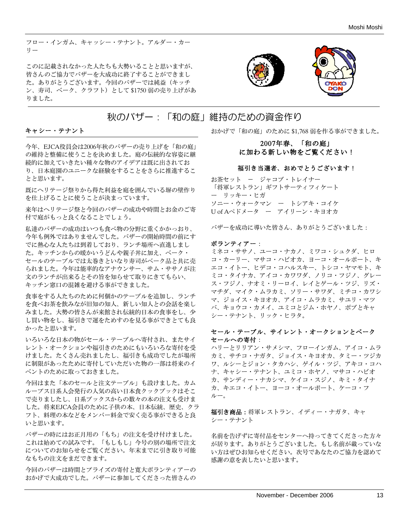フロー・インガム、キャッシー・テナント。アルダー・カー リー

このに記載されなかった人たちも大勢いることと思いますが、 皆さんのご協力でバザーを大成功に終了することができまし た。ありがとうございます。今回のバザーでは純益(キッチ ン、寿司、ベーク、クラフト)として \$1750 弱の売り上げがあ りました。



## 秋のバザー:「和の庭」維持のための資金作り

### キャシー・テナント

今年、EJCA役員会は2006年秋のバザーの売り上げを「和の庭」 の維持と整備に使うことを決めました。庭の伝統的な容姿に継 続的に加えていきたい種々な物のアイデアは既に出されてお り、日本庭園のユニークな経験をすることをさらに推進するこ とと思います。

既にヘリテージ祭りから得た利益を庭を囲んでいる塀の壁作り を仕上げることに使うことが決まっています。

来年はヘリテージ祭と今回のバザーの成功や時間とお金のご寄 付で庭がもっと良くなることでしょう。

私達のバザーの成功はいつも食べ物の分野に重くかかっおり、 今年も例外ではありませんでした。バザーの開始時間の前にす でに熱心な人たちは到着しており、ランチ場所へ直進しまし た。キッチンからの暖かいうどんや親子丼に加え、ベーク・ セールのテーブルでは太巻きといなり寿司がベーク品と共に売 られました。今年は能率的なアナウンサー、サム・ササノが注 文のランチが出来るとその旨を知らせて取りにきてもらい、 キッチン窓口の混雑を避ける事ができました。

食事をする人たちのために何個かのテーブルを追加し、ランチ を食べお茶を飲みなが旧知の知人、新しい知人との会話を楽し みました。大勢の皆さんが来館され伝統的日本の食事をし、少 し買い物をし、福引きで運をためすのを見る事ができとても良 かったと思います。

いろいろな日本の物がセール・テーブルへ寄付され、またサイ レント・オークションや福引きのためにもいろいろな寄付を受 けました。たくさん売れましたし、福引きも成功でしたが場所 に制限があったために寄付していただいた物の一部は将来のイ ベントのために取っておきました。

今回はまた「本のセールと注文テーブル」も設けました。カム ループス日系人会発行の人気の高い日本食クックブックはそこ で売りましたし、日系ブックスからの数々の本の注文も受けま した。将来EJCA会員のために子供の本、日本伝統、歴史、クラ フト、料理の本などをメンバー料金で安く売る事ができると良 いと思います。

バザーの時にはお正月用の「もち」の注文を受け付けました。 これは始めての試みです。「もしもし」今号の別の場所で注文 についてのお知らせをご覧ください。年末までに引き取り可能 なもちの注文をまだできます。

今回のバザーは時間とプライズの寄付と寛大ボランティアーの おかげで大成功でした。バザーに参加してくださった皆さんの おかげで「和の庭」のために \$1,768 弱を作る事ができました。

### 2007年春、「和の庭」 に加わる新しい物をご覧ください!

### 福引き当選者、おめでとうございます!

お茶セット ー ジャコブ・トレイナー 「将軍レストラン」ギフトサーティフィケート ー リッキー・ヒガ ソニー・ウォークマン ー トシアキ・コイケ U of Aペドメータ ー アイリーン・キヨオカ

バザーを成功に導いた皆さん、ありがとうございました:

#### ボランティアー:

ミネコ・ササノ、ユーコ・ナカノ、ミワコ・シュクダ、ヒロ コ・カーリー、マサコ・ハビオカ、ヨーコ・オールポート、キ エコ・イトー、ヒデコ・コハルスキー、トシコ・ヤマモト、キ ミコ・タイナカ、アイコ・カワワダ、ノリコ・フジノ、グレー ス・フジノ、ナオミ・リーロイ、レイとゲール・ツジ、リズ・ マチダ、マイク・ムラカミ、ソリー・サワダ、ミチコ・カワシ マ、ジョイス・キヨオカ、アイコ・ムラカミ、サユリ・マツ バ、キョウコ・カメイ、ユミコとジム・ホヤノ、ボブとキャ シー・テナント、リック・ヒラタ。

### セール・テーブル、サイレント・オークションとベーク セールへの寄付:

ハリーとリリアン・サメシマ、フローインガム、アイコ・ムラ カミ、サチコ・ナガタ、ジョイス・キヨオカ、タミー・ツジカ ワ、ルシーとジョン・タカハシ、ゲイル・ツジ、アキコ・コハ ナ、キャシー・テナント、ユミコ・ホヤノ、マサコ・ハビオ カ、サンディー・ナカシマ、ケイコ・スジノ、キミ・タイナ カ、キエコ・イトー、ヨーコ・オールポート、ケーコ・フ ルー。

福引き商品:将軍レストラン、イディー・ナガタ、キャ シー・テナント

名前を告げずに寄付品をセンターへ持ってきてくださった方々 が居ります。ありがとうございました。もし名前が載っていな い方はぜひお知らせください。次号であなたのご協力を認めて 感謝の意を表したいと思います。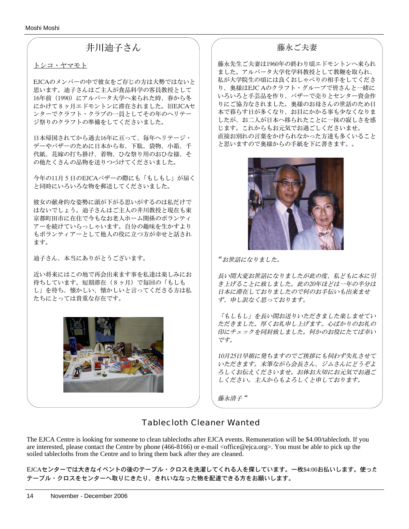Moshi Moshi

## 井川迪子さん

### トシコ・ヤマモト

EJCAのメンバーの中で彼女をご存じの方は大勢ではないと 思います。迪子さんはご主人が食品科学の客員教授として 16年前(1990)にアルバータ大学へ来られた時、春から冬 にかけて8ヶ月エドモントンに滞在されました。旧EJCAセ ンターでクラフト・クラブの一員としてその年のヘリテー ジ祭りのクラフトの準備をしてくださいました。

日本帰国されてから過去16年に亘って、毎年ヘリテージ・ デーやバザーのために日本から布、下駄、袋物、小箱、千 代紙、花嫁の打ち掛け、着物、ひな祭り用のおひな様、そ の他たくさんの品物を送りつづけてくださいました。

今年の11月5日のEJCAバザーの際にも「もしもし」が届く と同時にいろいろな物を郵送してくださいました。

彼女の献身的な姿勢に頭が下がる思いがするのは私だけで はないでしょう。迪子さんはご主人の井川教授と現在も東 京都町田市に在住で今もなお老人ホーム関係のボランティ アーを続けていらっしゃいます。自分の趣味を生かすより もボランティアーとして他人の役に立つ方が幸せと話され ます。

迪子さん、本当にありがとうございます。

近い将来にはこの地で再会出来ます事を私達は楽しみにお 待ちしています。短期滞在(8ヶ月)で毎回の「もしも し」を待ち、懐かしい、懐かしいと言ってくださる方は私 たちにとっては貴重な存在です。



### 藤永ご夫妻

藤永先生ご夫妻は1960年の終わり頃エドモントンへ来られ ました。アルバータ大学化学科教授として教鞭を取られ、 私が大学院生の頃には良くおしゃべりの相手をしてくださ り、奥様はEJC Aのクラフト・グループで皆さんと一緒に いろいろと手芸品を作り、バザーで売りとセンター資金作 りにご協力なされました。奥様のお母さんの世話のため日 本で暮らす日が多くなり、お目にかかる事も少なくなりま したが、お二人が日本へ移られたことに一抹の寂しさを感 じます。これからもお元気でお過ごしくださいませ。 直接お別れの言葉をかけられなかった方達も多くいること と思いますので奥様からの手紙を下に書きます。。



*"*お世話になりました。

長い間大変お世話になりましたが此の度、私どもに本に引 き上げることに致しました。此の20年ほどは一年の半分は 日本に滞在しておりましたので何のお手伝いも出来ませ ず、申し訳なく思っております。

「もしもし」を長い間お送りいただきました楽しませてい ただきました。厚くお礼申し上げます。心ばかりのお礼の 印にチェックを同封致しました。何かのお役にたてば幸い です。

10月25日早朝に発ちますのでご挨拶にも伺わず失礼させて いただきます。末筆ながら会長さん、ジムさんにどうぞよ ろしくお伝えくださいませ。お体お大切にお元気でお過ご しください。主人からもよろしくと申しております。

藤永清子 *"*

## Tablecloth Cleaner Wanted

The EJCA Centre is looking for someone to clean tablecloths after EJCA events. Remuneration will be \$4.00/tablecloth. If you are interested, please contact the Centre by phone (466-8166) or e-mail <office@ejca.org>. You must be able to pick up the soiled tablecloths from the Centre and to bring them back after they are cleaned.

EJCAセンターでは大きなイベントの後のテーブル・クロスを洗濯してくれる人を探しています。一枚\$4:00お払いします。使った テーブル・クロスをセンターへ取りにきたり、きれいななった物を配達できる方をお願いします。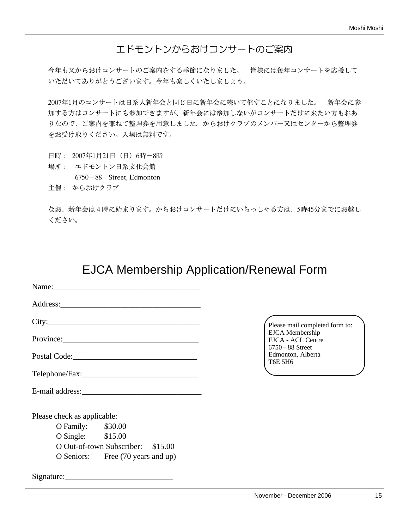## エドモントンからおけコンサートのご案内

今年も又からおけコンサートのご案内をする季節になりました。 皆様には毎年コンサートを応援して いただいてありがとうございます。今年も楽しくいたしましょう。

2007年1月のコンサートは日系人新年会と同じ日に新年会に続いて催すことになりました。 新年会に参 加する方はコンサートにも参加できますが、新年会には参加しないがコンサートだけに来たい方もおあ りなので、ご案内を兼ねて整理券を用意しました。からおけクラブのメンバー又はセンターから整理券 をお受け取りください。入場は無料です。

日時: 2007年1月21日(日)6時-8時 場所: エドモントン日系文化会館 6750-88 Street, Edmonton 主催: からおけクラブ

なお、新年会は4時に始まります。からおけコンサートだけにいらっしゃる方は、5時45分までにお越し ください。

## EJCA Membership Application/Renewal Form

|                             | Name: 2008. 2008. 2010. 2010. 2010. 2010. 2010. 2010. 2010. 2011. 2012. 2012. 2013. 2014. 2016. 2016. 2016. 20 |  |
|-----------------------------|----------------------------------------------------------------------------------------------------------------|--|
|                             |                                                                                                                |  |
|                             |                                                                                                                |  |
|                             |                                                                                                                |  |
|                             |                                                                                                                |  |
|                             |                                                                                                                |  |
|                             |                                                                                                                |  |
| Please check as applicable: |                                                                                                                |  |
| O Family: \$30.00           |                                                                                                                |  |
| O Single: \$15.00           |                                                                                                                |  |
|                             | O Out-of-town Subscriber: \$15.00                                                                              |  |
|                             | O Seniors: Free (70 years and up)                                                                              |  |
|                             |                                                                                                                |  |

Please mail completed form to: EJCA Membership EJCA - ACL Centre 6750 - 88 Street Edmonton, Alberta T6E 5H6